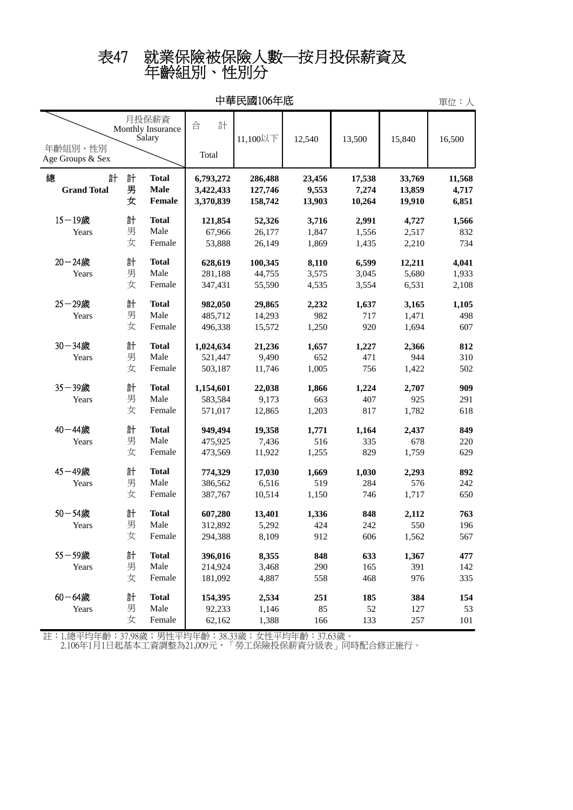## 年齡組別、性別分 表47 就業保險被保險人數─按月投保薪資及

| 中華民國106年底                                                           |             |                                       |                                     |                               |                           |                           |                            |                          |
|---------------------------------------------------------------------|-------------|---------------------------------------|-------------------------------------|-------------------------------|---------------------------|---------------------------|----------------------------|--------------------------|
| 月投保薪資<br>Monthly Insurance<br>Salary<br>年齡組別、性別<br>Age Groups & Sex |             |                                       | 計<br>合<br>Total                     | 11,100以下                      | 12,540                    | 13,500                    | 15,840                     | 16,500                   |
| 總<br>計<br><b>Grand Total</b>                                        | 計<br>男<br>女 | <b>Total</b><br><b>Male</b><br>Female | 6,793,272<br>3,422,433<br>3,370,839 | 286,488<br>127,746<br>158,742 | 23,456<br>9,553<br>13,903 | 17,538<br>7,274<br>10,264 | 33,769<br>13,859<br>19,910 | 11,568<br>4,717<br>6,851 |
| $15 - 19$ 歲<br>Years                                                | 計<br>男<br>女 | <b>Total</b><br>Male<br>Female        | 121,854<br>67,966<br>53,888         | 52,326<br>26,177<br>26,149    | 3,716<br>1,847<br>1,869   | 2,991<br>1,556<br>1,435   | 4,727<br>2,517<br>2,210    | 1,566<br>832<br>734      |
| 20-24歲<br>Years                                                     | 計<br>男<br>女 | <b>Total</b><br>Male<br>Female        | 628,619<br>281,188<br>347,431       | 100,345<br>44,755<br>55,590   | 8,110<br>3,575<br>4,535   | 6,599<br>3,045<br>3,554   | 12,211<br>5,680<br>6,531   | 4,041<br>1,933<br>2,108  |
| 25-29歲<br>Years                                                     | 計<br>男<br>女 | <b>Total</b><br>Male<br>Female        | 982,050<br>485,712<br>496,338       | 29,865<br>14,293<br>15,572    | 2,232<br>982<br>1,250     | 1,637<br>717<br>920       | 3,165<br>1,471<br>1,694    | 1,105<br>498<br>607      |
| 30-34歲<br>Years                                                     | 計<br>男<br>女 | <b>Total</b><br>Male<br>Female        | 1,024,634<br>521,447<br>503,187     | 21,236<br>9,490<br>11,746     | 1,657<br>652<br>1,005     | 1,227<br>471<br>756       | 2,366<br>944<br>1,422      | 812<br>310<br>502        |
| 35-39歲<br>Years                                                     | 計<br>男<br>女 | <b>Total</b><br>Male<br>Female        | 1,154,601<br>583,584<br>571,017     | 22,038<br>9,173<br>12,865     | 1,866<br>663<br>1,203     | 1,224<br>407<br>817       | 2,707<br>925<br>1,782      | 909<br>291<br>618        |
| 40-44歲<br>Years                                                     | 計<br>男<br>女 | <b>Total</b><br>Male<br>Female        | 949,494<br>475,925<br>473,569       | 19,358<br>7,436<br>11,922     | 1,771<br>516<br>1,255     | 1,164<br>335<br>829       | 2,437<br>678<br>1,759      | 849<br>220<br>629        |
| 45-49歲<br>Years                                                     | 計<br>男<br>女 | <b>Total</b><br>Male<br>Female        | 774,329<br>386,562<br>387,767       | 17,030<br>6,516<br>10,514     | 1,669<br>519<br>1,150     | 1,030<br>284<br>746       | 2,293<br>576<br>1,717      | 892<br>242<br>650        |
| 50-54歲<br>Years                                                     | 計<br>男<br>女 | <b>Total</b><br>Male<br>Female        | 607,280<br>312,892<br>294,388       | 13,401<br>5,292<br>8,109      | 1,336<br>424<br>912       | 848<br>242<br>606         | 2,112<br>550<br>1,562      | 763<br>196<br>567        |
| 55-59歲<br>Years                                                     | 計<br>男<br>女 | <b>Total</b><br>Male<br>Female        | 396,016<br>214,924<br>181,092       | 8,355<br>3,468<br>4,887       | 848<br>290<br>558         | 633<br>165<br>468         | 1,367<br>391<br>976        | 477<br>142<br>335        |
| $60 - 64$ 歲<br>Years                                                | 計<br>男<br>女 | <b>Total</b><br>Male<br>Female        | 154,395<br>92,233<br>62,162         | 2,534<br>1,146<br>1,388       | 251<br>85<br>166          | 185<br>52<br>133          | 384<br>127<br>257          | 154<br>53<br>101         |

中華民國106年底

註:1.總平均年齡:37.98歲;男性平均年齡:38.33歲;女性平均年齡:37.63歲。

2.106年1月1日起基本工資調整為21,009元,「勞工保險投保薪資分級表」同時配合修正施行。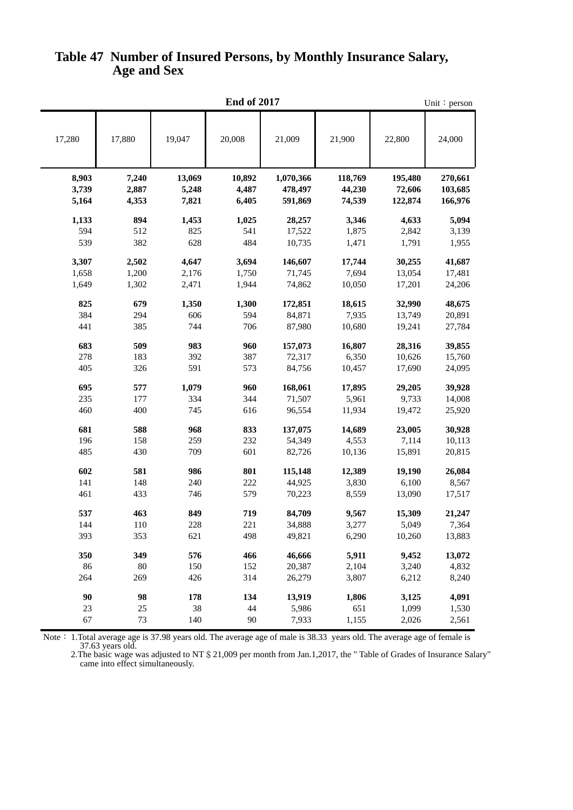|        | <b>End of 2017</b> |        |        |           |         |         |         |  |  |  |
|--------|--------------------|--------|--------|-----------|---------|---------|---------|--|--|--|
| 17,280 | 17,880             | 19,047 | 20,008 | 21,009    | 21,900  | 22,800  | 24,000  |  |  |  |
| 8,903  | 7,240              | 13,069 | 10,892 | 1,070,366 | 118,769 | 195,480 | 270,661 |  |  |  |
| 3,739  | 2,887              | 5,248  | 4,487  | 478,497   | 44,230  | 72,606  | 103,685 |  |  |  |
| 5,164  | 4,353              | 7,821  | 6,405  | 591,869   | 74,539  | 122,874 | 166,976 |  |  |  |
| 1,133  | 894                | 1,453  | 1,025  | 28,257    | 3,346   | 4,633   | 5,094   |  |  |  |
| 594    | 512                | 825    | 541    | 17,522    | 1,875   | 2,842   | 3,139   |  |  |  |
| 539    | 382                | 628    | 484    | 10,735    | 1,471   | 1,791   | 1,955   |  |  |  |
|        |                    |        |        |           |         |         |         |  |  |  |
| 3,307  | 2,502              | 4,647  | 3,694  | 146,607   | 17,744  | 30,255  | 41,687  |  |  |  |
| 1,658  | 1,200              | 2,176  | 1,750  | 71,745    | 7,694   | 13,054  | 17,481  |  |  |  |
| 1,649  | 1,302              | 2,471  | 1,944  | 74,862    | 10,050  | 17,201  | 24,206  |  |  |  |
| 825    | 679                | 1,350  | 1,300  | 172,851   | 18,615  | 32,990  | 48,675  |  |  |  |
| 384    | 294                | 606    | 594    | 84,871    | 7,935   | 13,749  | 20,891  |  |  |  |
| 441    | 385                | 744    | 706    | 87,980    | 10,680  | 19,241  | 27,784  |  |  |  |
| 683    | 509                | 983    | 960    | 157,073   | 16,807  | 28,316  | 39,855  |  |  |  |
| 278    | 183                | 392    | 387    | 72,317    | 6,350   | 10,626  | 15,760  |  |  |  |
| 405    | 326                | 591    | 573    | 84,756    | 10,457  | 17,690  | 24,095  |  |  |  |
| 695    | 577                | 1,079  | 960    | 168,061   | 17,895  | 29,205  | 39,928  |  |  |  |
| 235    | 177                | 334    | 344    | 71,507    | 5,961   | 9,733   | 14,008  |  |  |  |
| 460    | 400                | 745    | 616    | 96,554    | 11,934  | 19,472  | 25,920  |  |  |  |
| 681    | 588                | 968    | 833    | 137,075   | 14,689  | 23,005  | 30,928  |  |  |  |
| 196    | 158                | 259    | 232    | 54,349    | 4,553   | 7,114   | 10,113  |  |  |  |
| 485    | 430                | 709    | 601    | 82,726    | 10,136  | 15,891  | 20,815  |  |  |  |
| 602    | 581                | 986    | 801    | 115,148   | 12,389  | 19,190  | 26,084  |  |  |  |
| 141    | 148                | 240    | 222    | 44,925    | 3,830   | 6,100   | 8,567   |  |  |  |
| 461    | 433                | 746    | 579    | 70,223    | 8,559   | 13,090  | 17,517  |  |  |  |
| 537    | 463                | 849    | 719    | 84,709    | 9,567   | 15,309  | 21,247  |  |  |  |
| 144    | 110                | 228    | 221    | 34,888    | 3,277   | 5,049   | 7,364   |  |  |  |
| 393    | 353                | 621    | 498    | 49,821    | 6,290   | 10,260  | 13,883  |  |  |  |
| 350    | 349                | 576    | 466    | 46,666    | 5,911   | 9,452   | 13,072  |  |  |  |
| 86     | 80                 | 150    | 152    | 20,387    | 2,104   | 3,240   | 4,832   |  |  |  |
| 264    | 269                | 426    | 314    | 26,279    | 3,807   | 6,212   | 8,240   |  |  |  |
| 90     | 98                 | 178    | 134    | 13,919    | 1,806   | 3,125   | 4,091   |  |  |  |
| 23     | $25\,$             | 38     | 44     | 5,986     | 651     | 1,099   | 1,530   |  |  |  |
| 67     | 73                 | 140    | 90     | 7,933     | 1,155   | 2,026   | 2,561   |  |  |  |
|        |                    |        |        |           |         |         |         |  |  |  |

## **Age and Sex Table 47 Number of Insured Persons, by Monthly Insurance Salary,**

 37.63 years old. Note: 1.Total average age is 37.98 years old. The average age of male is 38.33 years old. The average age of female is

 came into effect simultaneously. 2. The basic wage was adjusted to NT \$ 21,009 per month from Jan.1,2017, the "Table of Grades of Insurance Salary"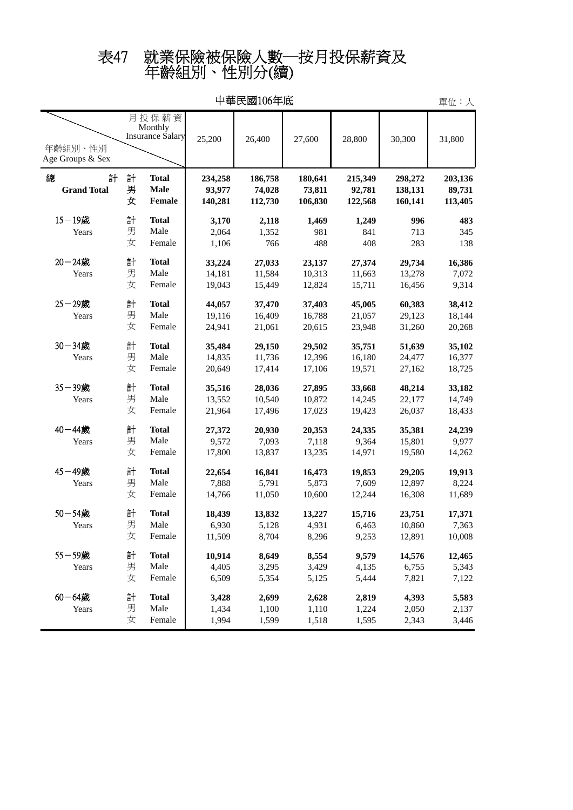## 年齡組別、性別分(續) 表47 就業保險被保險人數─按月投保薪資及

| 中華民國106年底                                                           |             |                                              |                              |                              |                              |                              |                               |                              |
|---------------------------------------------------------------------|-------------|----------------------------------------------|------------------------------|------------------------------|------------------------------|------------------------------|-------------------------------|------------------------------|
| 月投保薪資<br>Monthly<br>Insurance Salary<br>年齡組別、性別<br>Age Groups & Sex |             |                                              | 25,200                       | 26,400                       | 27,600                       | 28,800                       | 30,300                        | 31,800                       |
| 總<br>計<br><b>Grand Total</b>                                        | 計<br>男<br>女 | <b>Total</b><br><b>Male</b><br><b>Female</b> | 234,258<br>93,977<br>140,281 | 186,758<br>74,028<br>112,730 | 180,641<br>73,811<br>106,830 | 215,349<br>92,781<br>122,568 | 298,272<br>138,131<br>160,141 | 203,136<br>89,731<br>113,405 |
| $15 - 19$ 歲                                                         | 計           | <b>Total</b>                                 | 3,170                        | 2,118                        | 1,469                        | 1,249                        | 996                           | 483                          |
| Years                                                               | 男           | Male                                         | 2,064                        | 1,352                        | 981                          | 841                          | 713                           | 345                          |
|                                                                     | 女           | Female                                       | 1,106                        | 766                          | 488                          | 408                          | 283                           | 138                          |
| $20 - 24$ 歲                                                         | 計           | <b>Total</b>                                 | 33,224                       | 27,033                       | 23,137                       | 27,374                       | 29,734                        | 16,386                       |
| Years                                                               | 男           | Male                                         | 14,181                       | 11,584                       | 10,313                       | 11,663                       | 13,278                        | 7,072                        |
|                                                                     | 女           | Female                                       | 19,043                       | 15,449                       | 12,824                       | 15,711                       | 16,456                        | 9,314                        |
| 25-29歲                                                              | 計           | <b>Total</b>                                 | 44,057                       | 37,470                       | 37,403                       | 45,005                       | 60,383                        | 38,412                       |
| Years                                                               | 男           | Male                                         | 19,116                       | 16,409                       | 16,788                       | 21,057                       | 29,123                        | 18,144                       |
|                                                                     | 女           | Female                                       | 24,941                       | 21,061                       | 20,615                       | 23,948                       | 31,260                        | 20,268                       |
| $30 - 34$ 歲                                                         | 計           | <b>Total</b>                                 | 35,484                       | 29,150                       | 29,502                       | 35,751                       | 51,639                        | 35,102                       |
| Years                                                               | 男           | Male                                         | 14,835                       | 11,736                       | 12,396                       | 16,180                       | 24,477                        | 16,377                       |
|                                                                     | 女           | Female                                       | 20,649                       | 17,414                       | 17,106                       | 19,571                       | 27,162                        | 18,725                       |
| 35-39歲                                                              | 計           | <b>Total</b>                                 | 35,516                       | 28,036                       | 27,895                       | 33,668                       | 48,214                        | 33,182                       |
| Years                                                               | 男           | Male                                         | 13,552                       | 10,540                       | 10,872                       | 14,245                       | 22,177                        | 14,749                       |
|                                                                     | 女           | Female                                       | 21,964                       | 17,496                       | 17,023                       | 19,423                       | 26,037                        | 18,433                       |
| 40-44歲                                                              | 計           | <b>Total</b>                                 | 27,372                       | 20,930                       | 20,353                       | 24,335                       | 35,381                        | 24,239                       |
| Years                                                               | 男           | Male                                         | 9,572                        | 7,093                        | 7,118                        | 9,364                        | 15,801                        | 9,977                        |
|                                                                     | 女           | Female                                       | 17,800                       | 13,837                       | 13,235                       | 14,971                       | 19,580                        | 14,262                       |
| 45-49歲                                                              | 計           | <b>Total</b>                                 | 22,654                       | 16,841                       | 16,473                       | 19,853                       | 29,205                        | 19,913                       |
| Years                                                               | 男           | Male                                         | 7,888                        | 5,791                        | 5,873                        | 7,609                        | 12,897                        | 8,224                        |
|                                                                     | 女           | Female                                       | 14,766                       | 11,050                       | 10,600                       | 12,244                       | 16,308                        | 11,689                       |
| $50 - 54$ 歲                                                         | 計           | <b>Total</b>                                 | 18,439                       | 13,832                       | 13,227                       | 15,716                       | 23,751                        | 17,371                       |
| Years                                                               | 男           | Male                                         | 6,930                        | 5,128                        | 4,931                        | 6,463                        | 10,860                        | 7,363                        |
|                                                                     | 女           | Female                                       | 11,509                       | 8,704                        | 8,296                        | 9,253                        | 12,891                        | 10,008                       |
| 55-59歲                                                              | 計           | <b>Total</b>                                 | 10,914                       | 8,649                        | 8,554                        | 9,579                        | 14,576                        | 12,465                       |
| Years                                                               | 男           | Male                                         | 4,405                        | 3,295                        | 3,429                        | 4,135                        | 6,755                         | 5,343                        |
|                                                                     | 女           | Female                                       | 6,509                        | 5,354                        | 5,125                        | 5,444                        | 7,821                         | 7,122                        |
| $60 - 64$ 歲                                                         | 計           | <b>Total</b>                                 | 3,428                        | 2,699                        | 2,628                        | 2,819                        | 4,393                         | 5,583                        |
| Years                                                               | 男           | Male                                         | 1,434                        | 1,100                        | 1,110                        | 1,224                        | 2,050                         | 2,137                        |
|                                                                     | 女           | Female                                       | 1,994                        | 1,599                        | 1,518                        | 1,595                        | 2,343                         | 3,446                        |